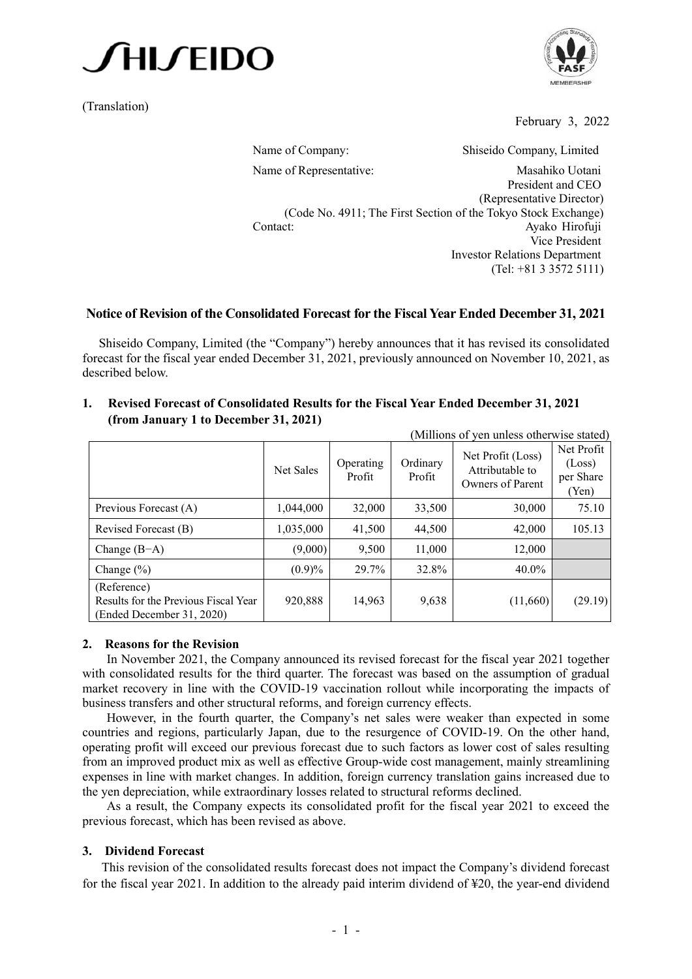

(Translation)



February 3, 2022

 $(ML11)$  and  $(0.6)$  and  $(1.6)$  stated  $(1.6)$ 

Name of Company: Shiseido Company, Limited Name of Representative: Masahiko Uotani President and CEO (Representative Director) (Code No. 4911; The First Section of the Tokyo Stock Exchange) Contact: Ayako Hirofuji Vice President Investor Relations Department (Tel: +81 3 3572 5111)

## **Notice of Revision of the Consolidated Forecast for the Fiscal Year Ended December 31, 2021**

Shiseido Company, Limited (the "Company") hereby announces that it has revised its consolidated forecast for the fiscal year ended December 31, 2021, previously announced on November 10, 2021, as described below.

| Millions of yen unless otherwise stated.                                         |           |                     |                    |                                                          |                                            |
|----------------------------------------------------------------------------------|-----------|---------------------|--------------------|----------------------------------------------------------|--------------------------------------------|
|                                                                                  | Net Sales | Operating<br>Profit | Ordinary<br>Profit | Net Profit (Loss)<br>Attributable to<br>Owners of Parent | Net Profit<br>(Loss)<br>per Share<br>(Yen) |
| Previous Forecast (A)                                                            | 1,044,000 | 32,000              | 33,500             | 30,000                                                   | 75.10                                      |
| Revised Forecast (B)                                                             | 1,035,000 | 41,500              | 44,500             | 42,000                                                   | 105.13                                     |
| Change $(B-A)$                                                                   | (9,000)   | 9,500               | 11,000             | 12,000                                                   |                                            |
| Change $(\% )$                                                                   | $(0.9)\%$ | 29.7%               | 32.8%              | $40.0\%$                                                 |                                            |
| (Reference)<br>Results for the Previous Fiscal Year<br>(Ended December 31, 2020) | 920,888   | 14,963              | 9,638              | (11,660)                                                 | (29.19)                                    |

**1. Revised Forecast of Consolidated Results for the Fiscal Year Ended December 31, 2021 (from January 1 to December 31, 2021)**

## **2. Reasons for the Revision**

In November 2021, the Company announced its revised forecast for the fiscal year 2021 together with consolidated results for the third quarter. The forecast was based on the assumption of gradual market recovery in line with the COVID-19 vaccination rollout while incorporating the impacts of business transfers and other structural reforms, and foreign currency effects.

However, in the fourth quarter, the Company's net sales were weaker than expected in some countries and regions, particularly Japan, due to the resurgence of COVID-19. On the other hand, operating profit will exceed our previous forecast due to such factors as lower cost of sales resulting from an improved product mix as well as effective Group-wide cost management, mainly streamlining expenses in line with market changes. In addition, foreign currency translation gains increased due to the yen depreciation, while extraordinary losses related to structural reforms declined.

As a result, the Company expects its consolidated profit for the fiscal year 2021 to exceed the previous forecast, which has been revised as above.

## **3. Dividend Forecast**

This revision of the consolidated results forecast does not impact the Company's dividend forecast for the fiscal year 2021. In addition to the already paid interim dividend of ¥20, the year-end dividend